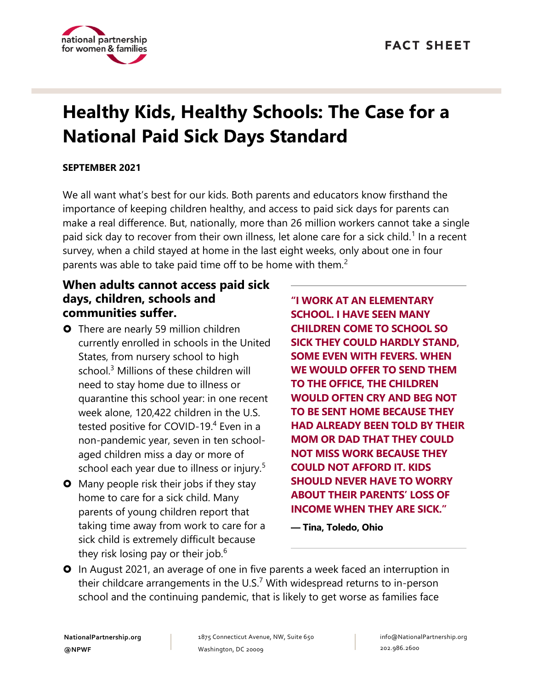

# **Healthy Kids, Healthy Schools: The Case for a National Paid Sick Days Standard**

#### **SEPTEMBER 2021**

We all want what's best for our kids. Both parents and educators know firsthand the importance of keeping children healthy, and access to paid sick days for parents can make a real difference. But, nationally, more than 26 million workers cannot take a single paid sick day to recover from their own illness, let alone care for a sick child.<sup>1</sup> In a recent survey, when a child stayed at home in the last eight weeks, only about one in four parents was able to take paid time off to be home with them.<sup>2</sup>

### **When adults cannot access paid sick days, children, schools and communities suffer.**

- **O** There are nearly 59 million children currently enrolled in schools in the United States, from nursery school to high school.<sup>3</sup> Millions of these children will need to stay home due to illness or quarantine this school year: in one recent week alone, 120,422 children in the U.S. tested positive for COVID-19. 4 Even in a non-pandemic year, seven in ten schoolaged children miss a day or more of school each year due to illness or injury.<sup>5</sup>
- **O** Many people risk their jobs if they stay home to care for a sick child. Many parents of young children report that taking time away from work to care for a sick child is extremely difficult because they risk losing pay or their job. $6$

**"I WORK AT AN ELEMENTARY SCHOOL. I HAVE SEEN MANY CHILDREN COME TO SCHOOL SO SICK THEY COULD HARDLY STAND, SOME EVEN WITH FEVERS. WHEN WE WOULD OFFER TO SEND THEM TO THE OFFICE, THE CHILDREN WOULD OFTEN CRY AND BEG NOT TO BE SENT HOME BECAUSE THEY HAD ALREADY BEEN TOLD BY THEIR MOM OR DAD THAT THEY COULD NOT MISS WORK BECAUSE THEY COULD NOT AFFORD IT. KIDS SHOULD NEVER HAVE TO WORRY ABOUT THEIR PARENTS' LOSS OF INCOME WHEN THEY ARE SICK."** 

**— Tina, Toledo, Ohio**

**O** In August 2021, an average of one in five parents a week faced an interruption in their childcare arrangements in the U.S.<sup>7</sup> With widespread returns to in-person school and the continuing pandemic, that is likely to get worse as families face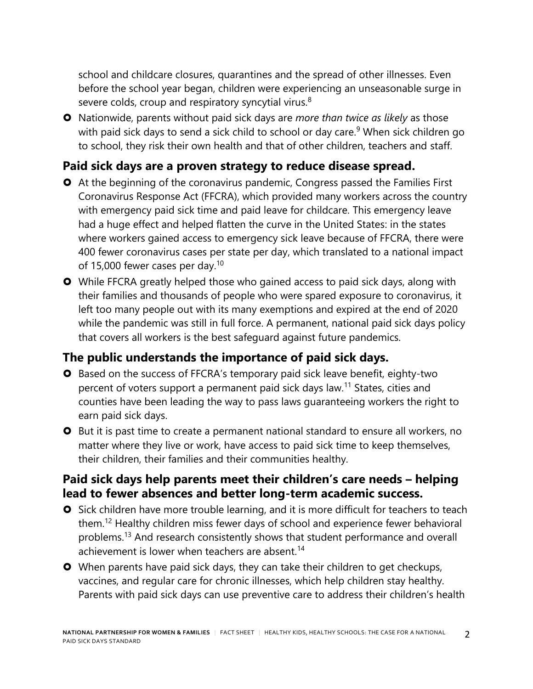school and childcare closures, quarantines and the spread of other illnesses. Even before the school year began, children were experiencing an unseasonable surge in severe colds, croup and respiratory syncytial virus.<sup>8</sup>

 Nationwide, parents without paid sick days are *more than twice as likely* as those with paid sick days to send a sick child to school or day care.<sup>9</sup> When sick children go to school, they risk their own health and that of other children, teachers and staff.

### **Paid sick days are a proven strategy to reduce disease spread.**

- At the beginning of the coronavirus pandemic, Congress passed the Families First Coronavirus Response Act (FFCRA), which provided many workers across the country with emergency paid sick time and paid leave for childcare. This emergency leave had a huge effect and helped flatten the curve in the United States: in the states where workers gained access to emergency sick leave because of FFCRA, there were 400 fewer coronavirus cases per state per day, which translated to a national impact of 15,000 fewer cases per day.<sup>10</sup>
- While FFCRA greatly helped those who gained access to paid sick days, along with their families and thousands of people who were spared exposure to coronavirus, it left too many people out with its many exemptions and expired at the end of 2020 while the pandemic was still in full force. A permanent, national paid sick days policy that covers all workers is the best safeguard against future pandemics.

## **The public understands the importance of paid sick days.**

- **O** Based on the success of FFCRA's temporary paid sick leave benefit, eighty-two percent of voters support a permanent paid sick days law.<sup>11</sup> States, cities and counties have been leading the way to pass laws guaranteeing workers the right to earn paid sick days.
- **O** But it is past time to create a permanent national standard to ensure all workers, no matter where they live or work, have access to paid sick time to keep themselves, their children, their families and their communities healthy.

#### **Paid sick days help parents meet their children's care needs – helping lead to fewer absences and better long-term academic success.**

- **O** Sick children have more trouble learning, and it is more difficult for teachers to teach them.<sup>12</sup> Healthy children miss fewer days of school and experience fewer behavioral problems.<sup>13</sup> And research consistently shows that student performance and overall achievement is lower when teachers are absent.<sup>14</sup>
- **O** When parents have paid sick days, they can take their children to get checkups, vaccines, and regular care for chronic illnesses, which help children stay healthy. Parents with paid sick days can use preventive care to address their children's health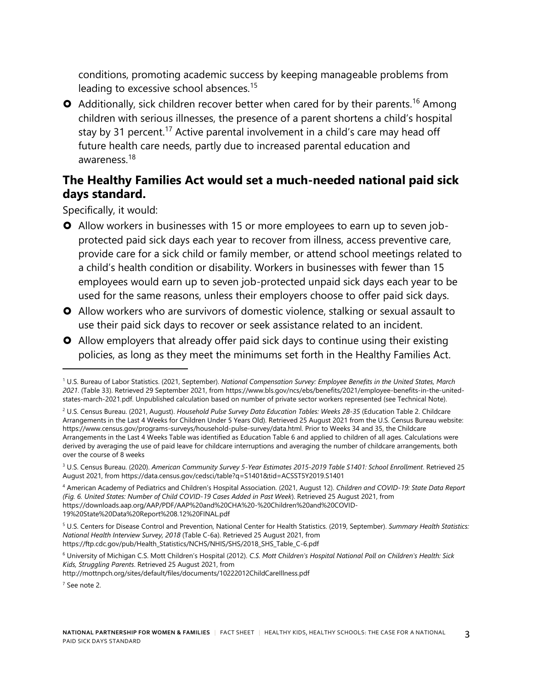conditions, promoting academic success by keeping manageable problems from leading to excessive school absences.<sup>15</sup>

**O** Additionally, sick children recover better when cared for by their parents.<sup>16</sup> Among children with serious illnesses, the presence of a parent shortens a child's hospital stay by 31 percent.<sup>17</sup> Active parental involvement in a child's care may head off future health care needs, partly due to increased parental education and awareness.<sup>18</sup>

#### **The Healthy Families Act would set a much-needed national paid sick days standard.**

Specifically, it would:

- Allow workers in businesses with 15 or more employees to earn up to seven jobprotected paid sick days each year to recover from illness, access preventive care, provide care for a sick child or family member, or attend school meetings related to a child's health condition or disability. Workers in businesses with fewer than 15 employees would earn up to seven job-protected unpaid sick days each year to be used for the same reasons, unless their employers choose to offer paid sick days.
- Allow workers who are survivors of domestic violence, stalking or sexual assault to use their paid sick days to recover or seek assistance related to an incident.
- Allow employers that already offer paid sick days to continue using their existing policies, as long as they meet the minimums set forth in the Healthy Families Act.

<sup>1</sup> U.S. Bureau of Labor Statistics. (2021, September). *National Compensation Survey: Employee Benefits in the United States, March 2021*. (Table 33). Retrieved 29 September 2021, from https://www.bls.gov/ncs/ebs/benefits/2021/employee-benefits-in-the-unitedstates-march-2021.pdf. Unpublished calculation based on number of private sector workers represented (see Technical Note).

<sup>2</sup> U.S. Census Bureau. (2021, August). *Household Pulse Survey Data Education Tables: Weeks 28-35* (Education Table 2. Childcare Arrangements in the Last 4 Weeks for Children Under 5 Years Old). Retrieved 25 August 2021 from the U.S. Census Bureau website: https://www.census.gov/programs-surveys/household-pulse-survey/data.html. Prior to Weeks 34 and 35, the Childcare Arrangements in the Last 4 Weeks Table was identified as Education Table 6 and applied to children of all ages. Calculations were derived by averaging the use of paid leave for childcare interruptions and averaging the number of childcare arrangements, both over the course of 8 weeks

<sup>3</sup> U.S. Census Bureau. (2020). *American Community Survey 5-Year Estimates 2015-2019 Table S1401: School Enrollment*. Retrieved 25 August 2021, from https://data.census.gov/cedsci/table?q=S1401&tid=ACSST5Y2019.S1401

<sup>4</sup> American Academy of Pediatrics and Children's Hospital Association. (2021, August 12). *Children and COVID-19: State Data Report (Fig. 6. United States: Number of Child COVID-19 Cases Added in Past Week*). Retrieved 25 August 2021, from https://downloads.aap.org/AAP/PDF/AAP%20and%20CHA%20-%20Children%20and%20COVID-19%20State%20Data%20Report%208.12%20FINAL.pdf

<sup>5</sup> U.S. Centers for Disease Control and Prevention, National Center for Health Statistics. (2019, September). *Summary Health Statistics: National Health Interview Survey, 2018* (Table C-6a). Retrieved 25 August 2021, from https://ftp.cdc.gov/pub/Health\_Statistics/NCHS/NHIS/SHS/2018\_SHS\_Table\_C-6.pdf

<sup>6</sup> University of Michigan C.S. Mott Children's Hospital (2012). *C.S. Mott Children's Hospital National Poll on Children's Health: Sick Kids, Struggling Parents*. Retrieved 25 August 2021, from http://mottnpch.org/sites/default/files/documents/10222012ChildCareIllness.pdf

<sup>7</sup> See note 2.